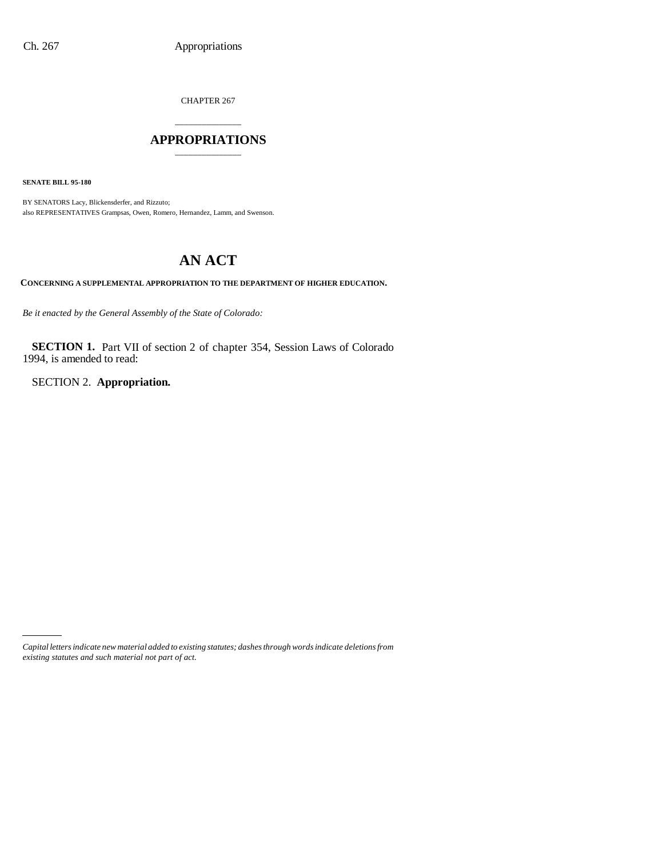CHAPTER 267

## \_\_\_\_\_\_\_\_\_\_\_\_\_\_\_ **APPROPRIATIONS** \_\_\_\_\_\_\_\_\_\_\_\_\_\_\_

**SENATE BILL 95-180**

BY SENATORS Lacy, Blickensderfer, and Rizzuto; also REPRESENTATIVES Grampsas, Owen, Romero, Hernandez, Lamm, and Swenson.

# **AN ACT**

**CONCERNING A SUPPLEMENTAL APPROPRIATION TO THE DEPARTMENT OF HIGHER EDUCATION.**

*Be it enacted by the General Assembly of the State of Colorado:*

**SECTION 1.** Part VII of section 2 of chapter 354, Session Laws of Colorado 1994, is amended to read:

SECTION 2. **Appropriation.**

*Capital letters indicate new material added to existing statutes; dashes through words indicate deletions from existing statutes and such material not part of act.*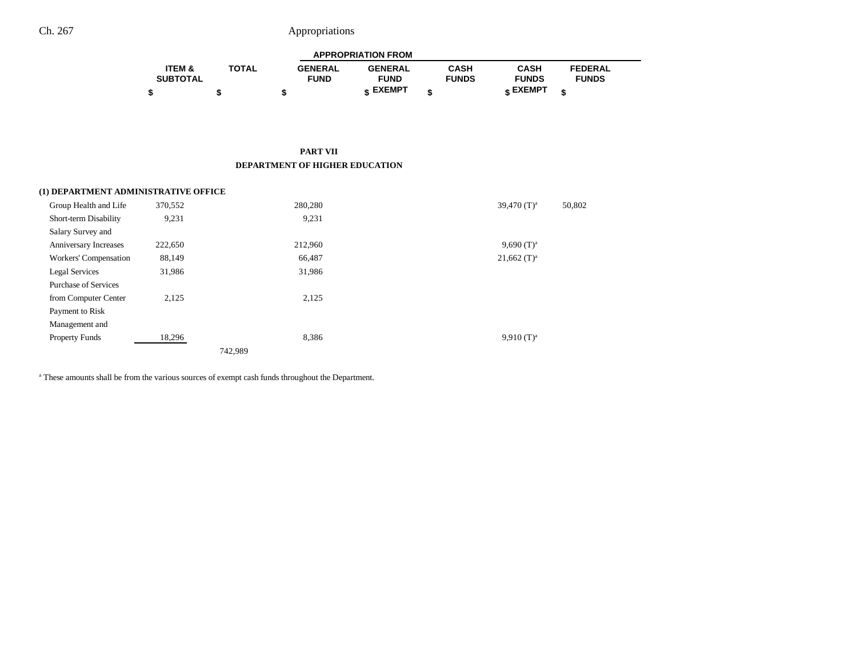| <b>APPROPRIATION FROM</b> |              |                |                 |              |              |                |  |
|---------------------------|--------------|----------------|-----------------|--------------|--------------|----------------|--|
| <b>ITEM &amp;</b>         | <b>TOTAL</b> | <b>GENERAL</b> | <b>GENERAL</b>  | CASH         | <b>CASH</b>  | <b>FEDERAL</b> |  |
| <b>SUBTOTAL</b>           |              | <b>FUND</b>    | <b>FUND</b>     | <b>FUNDS</b> | <b>FUNDS</b> | <b>FUNDS</b>   |  |
|                           |              |                | <b>« EXEMPT</b> |              | e EXEMPT ہ   |                |  |

#### **PART VII DEPARTMENT OF HIGHER EDUCATION**

| (1) DEPARTMENT ADMINISTRATIVE OFFICE |         |         |                           |
|--------------------------------------|---------|---------|---------------------------|
| Group Health and Life                | 370,552 | 280,280 | 39,470 $(T)^a$<br>50,802  |
| Short-term Disability                | 9,231   | 9,231   |                           |
| Salary Survey and                    |         |         |                           |
| Anniversary Increases                | 222,650 | 212.960 | $9,690(T)^a$              |
| Workers' Compensation                | 88,149  | 66,487  | $21,662$ (T) <sup>a</sup> |
| Legal Services                       | 31,986  | 31,986  |                           |
| <b>Purchase of Services</b>          |         |         |                           |
| from Computer Center                 | 2,125   | 2,125   |                           |
| Payment to Risk                      |         |         |                           |
| Management and                       |         |         |                           |
| <b>Property Funds</b>                | 18,296  | 8,386   | $9,910(T)^a$              |
|                                      |         | 742,989 |                           |

<sup>a</sup> These amounts shall be from the various sources of exempt cash funds throughout the Department.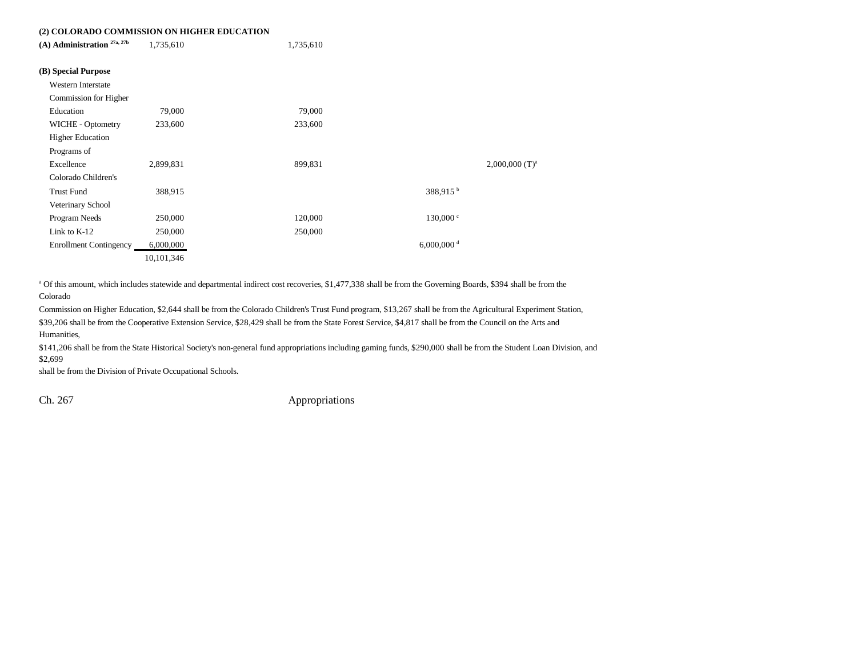## **(2) COLORADO COMMISSION ON HIGHER EDUCATION**

| 2) COLORADO COMMISSION ON HIGHER EDUCATION |            |           |                          |                              |
|--------------------------------------------|------------|-----------|--------------------------|------------------------------|
| $(A)$ Administration $27a, 27b$            | 1,735,610  | 1,735,610 |                          |                              |
| (B) Special Purpose                        |            |           |                          |                              |
| Western Interstate                         |            |           |                          |                              |
| Commission for Higher                      |            |           |                          |                              |
| Education                                  | 79,000     | 79,000    |                          |                              |
| WICHE - Optometry                          | 233,600    | 233,600   |                          |                              |
| <b>Higher Education</b>                    |            |           |                          |                              |
| Programs of                                |            |           |                          |                              |
| Excellence                                 | 2,899,831  | 899,831   |                          | $2,000,000$ (T) <sup>a</sup> |
| Colorado Children's                        |            |           |                          |                              |
| <b>Trust Fund</b>                          | 388,915    |           | 388,915 <sup>b</sup>     |                              |
| Veterinary School                          |            |           |                          |                              |
| Program Needs                              | 250,000    | 120,000   | 130,000 °                |                              |
| Link to $K-12$                             | 250,000    | 250,000   |                          |                              |
| <b>Enrollment Contingency</b>              | 6,000,000  |           | $6,000,000$ <sup>d</sup> |                              |
|                                            | 10,101,346 |           |                          |                              |

a Of this amount, which includes statewide and departmental indirect cost recoveries, \$1,477,338 shall be from the Governing Boards, \$394 shall be from the Colorado

Commission on Higher Education, \$2,644 shall be from the Colorado Children's Trust Fund program, \$13,267 shall be from the Agricultural Experiment Station,

\$39,206 shall be from the Cooperative Extension Service, \$28,429 shall be from the State Forest Service, \$4,817 shall be from the Council on the Arts and Humanities,

\$141,206 shall be from the State Historical Society's non-general fund appropriations including gaming funds, \$290,000 shall be from the Student Loan Division, and \$2,699

shall be from the Division of Private Occupational Schools.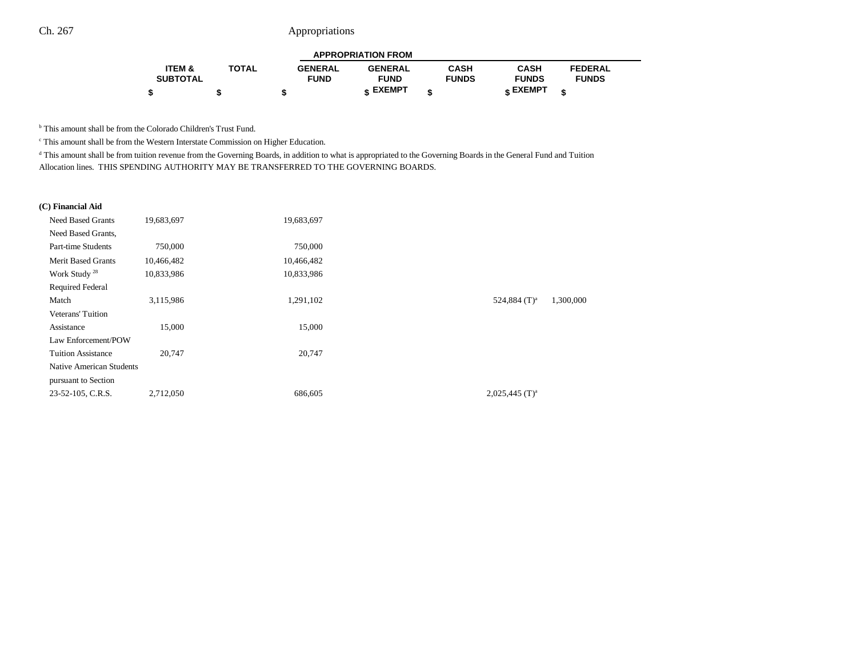| <b>APPROPRIATION FROM</b> |              |                |                |              |                 |                |  |
|---------------------------|--------------|----------------|----------------|--------------|-----------------|----------------|--|
| ITEM &                    | <b>TOTAL</b> | <b>GENERAL</b> | <b>GENERAL</b> | CASH         | <b>CASH</b>     | <b>FEDERAL</b> |  |
| <b>SUBTOTAL</b>           |              | <b>FUND</b>    | <b>FUND</b>    | <b>FUNDS</b> | <b>FUNDS</b>    | <b>FUNDS</b>   |  |
|                           |              |                | c EXEMPT       |              | <b>c</b> EXEMPT | æ              |  |

<sup>b</sup> This amount shall be from the Colorado Children's Trust Fund.

 $\cdot$  This amount shall be from the Western Interstate Commission on Higher Education.

<sup>d</sup> This amount shall be from tuition revenue from the Governing Boards, in addition to what is appropriated to the Governing Boards in the General Fund and Tuition Allocation lines. THIS SPENDING AUTHORITY MAY BE TRANSFERRED TO THE GOVERNING BOARDS.

#### **(C) Financial Aid**

| <b>Need Based Grants</b>  | 19,683,697 | 19,683,697 |                              |           |
|---------------------------|------------|------------|------------------------------|-----------|
| Need Based Grants,        |            |            |                              |           |
| Part-time Students        | 750,000    | 750,000    |                              |           |
| <b>Merit Based Grants</b> | 10,466,482 | 10,466,482 |                              |           |
| Work Study <sup>28</sup>  | 10,833,986 | 10,833,986 |                              |           |
| <b>Required Federal</b>   |            |            |                              |           |
| Match                     | 3,115,986  | 1,291,102  | 524,884 $(T)^a$              | 1,300,000 |
| Veterans' Tuition         |            |            |                              |           |
| Assistance                | 15,000     | 15,000     |                              |           |
| Law Enforcement/POW       |            |            |                              |           |
| <b>Tuition Assistance</b> | 20,747     | 20,747     |                              |           |
| Native American Students  |            |            |                              |           |
| pursuant to Section       |            |            |                              |           |
| 23-52-105, C.R.S.         | 2,712,050  | 686,605    | $2,025,445$ (T) <sup>a</sup> |           |
|                           |            |            |                              |           |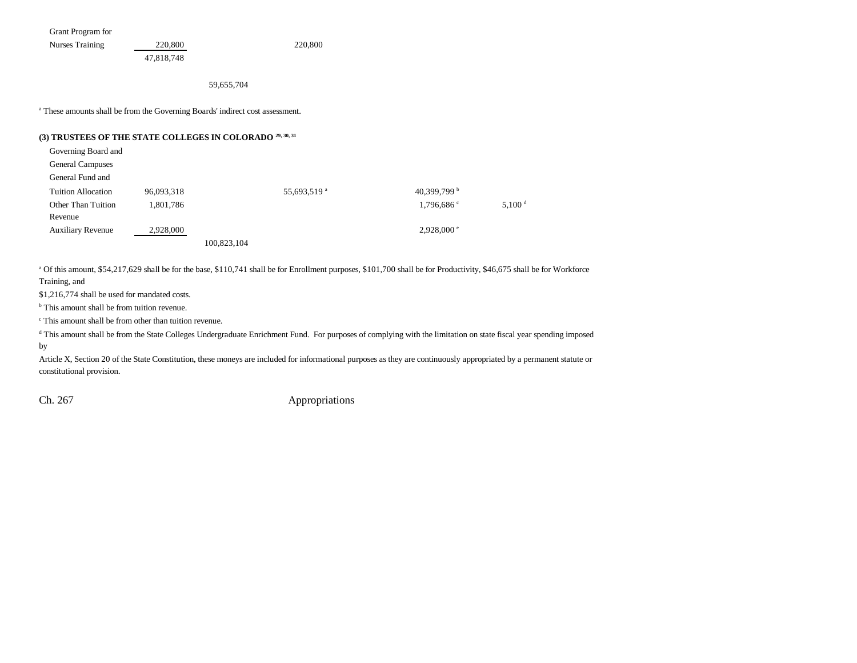Grant Program for

Nurses Training 220,800 220,800 47,818,748

59,655,704

a These amounts shall be from the Governing Boards' indirect cost assessment.

## **(3) TRUSTEES OF THE STATE COLLEGES IN COLORADO 29, 30, 31**

| Governing Board and       |            |             |                         |                       |                    |
|---------------------------|------------|-------------|-------------------------|-----------------------|--------------------|
| <b>General Campuses</b>   |            |             |                         |                       |                    |
| General Fund and          |            |             |                         |                       |                    |
| <b>Tuition Allocation</b> | 96,093,318 |             | 55,693,519 <sup>a</sup> | 40,399,799 $^{\rm b}$ |                    |
| Other Than Tuition        | 1,801,786  |             |                         | $1,796,686$ c         | 5,100 <sup>d</sup> |
| Revenue                   |            |             |                         |                       |                    |
| <b>Auxiliary Revenue</b>  | 2,928,000  |             |                         | $2,928,000$ $\degree$ |                    |
|                           |            | 100,823,104 |                         |                       |                    |

a Of this amount, \$54,217,629 shall be for the base, \$110,741 shall be for Enrollment purposes, \$101,700 shall be for Productivity, \$46,675 shall be for Workforce Training, and

\$1,216,774 shall be used for mandated costs.

<sup>b</sup> This amount shall be from tuition revenue.

c This amount shall be from other than tuition revenue.

<sup>d</sup> This amount shall be from the State Colleges Undergraduate Enrichment Fund. For purposes of complying with the limitation on state fiscal year spending imposed by

Article X, Section 20 of the State Constitution, these moneys are included for informational purposes as they are continuously appropriated by a permanent statute or constitutional provision.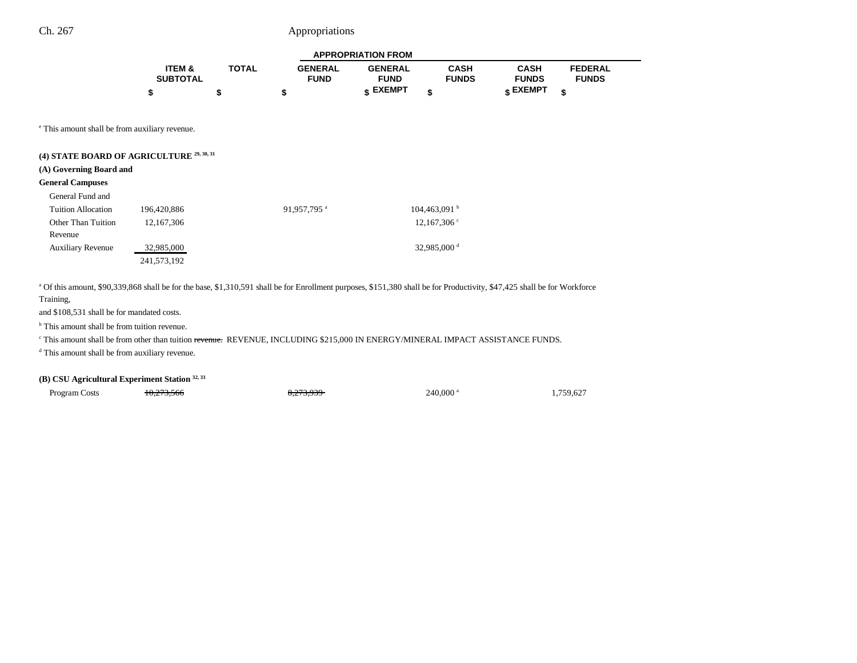| <b>APPROPRIATION FROM</b> |              |                |                 |              |              |                |  |
|---------------------------|--------------|----------------|-----------------|--------------|--------------|----------------|--|
| <b>ITEM &amp;</b>         | <b>TOTAL</b> | <b>GENERAL</b> | <b>GENERAL</b>  | <b>CASH</b>  | <b>CASH</b>  | <b>FEDERAL</b> |  |
| <b>SUBTOTAL</b>           |              | <b>FUND</b>    | <b>FUND</b>     | <b>FUNDS</b> | <b>FUNDS</b> | <b>FUNDS</b>   |  |
|                           |              |                | <b>« EXEMPT</b> |              | е ЕХЕМРТ     | ¢              |  |

e This amount shall be from auxiliary revenue.

## **(4) STATE BOARD OF AGRICULTURE 29, 30, 31**

#### **(A) Governing Board and**

#### **General Campuses**

| General Fund and              |             |                         |                          |
|-------------------------------|-------------|-------------------------|--------------------------|
| Tuition Allocation            | 196,420,886 | 91,957,795 <sup>a</sup> | 104,463,091 <sup>b</sup> |
| Other Than Tuition<br>Revenue | 12,167,306  |                         | $12,167,306^{\circ}$     |
| <b>Auxiliary Revenue</b>      | 32,985,000  |                         | 32,985,000 $^{\rm d}$    |
|                               | 241,573,192 |                         |                          |

a Of this amount, \$90,339,868 shall be for the base, \$1,310,591 shall be for Enrollment purposes, \$151,380 shall be for Productivity, \$47,425 shall be for Workforce Training,

and \$108,531 shall be for mandated costs.

<sup>b</sup> This amount shall be from tuition revenue.

c This amount shall be from other than tuition revenue. REVENUE, INCLUDING \$215,000 IN ENERGY/MINERAL IMPACT ASSISTANCE FUNDS.

d This amount shall be from auxiliary revenue.

### **(B) CSU Agricultural Experiment Station 32, 33**

Program Costs **10,273,566** 8,273,939 240,000 a 1,759,627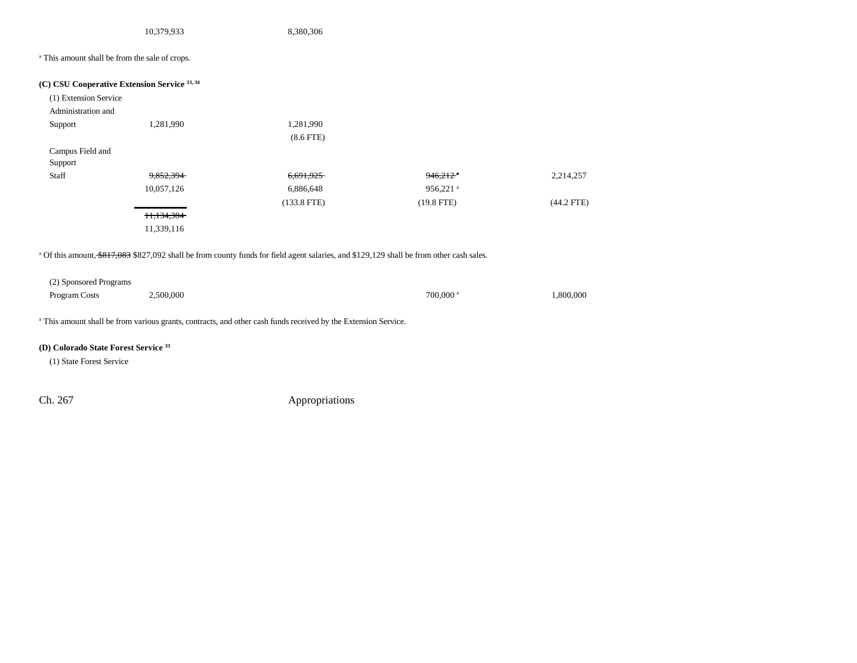| 10,379,933 | 8,380,306 |
|------------|-----------|
|------------|-----------|

<sup>a</sup> This amount shall be from the sale of crops.

| (1) Extension Service |                       |                |                        |              |
|-----------------------|-----------------------|----------------|------------------------|--------------|
| Administration and    |                       |                |                        |              |
| Support               | 1,281,990             | 1,281,990      |                        |              |
|                       |                       | $(8.6$ FTE $)$ |                        |              |
| Campus Field and      |                       |                |                        |              |
| Support               |                       |                |                        |              |
| Staff                 | 9,852,394             | 6,691,925      | $946,212$ <sup>a</sup> | 2,214,257    |
|                       | 10,057,126            | 6,886,648      | $956,221$ <sup>a</sup> |              |
|                       |                       | $(133.8$ FTE)  | $(19.8$ FTE)           | $(44.2$ FTE) |
|                       | <del>11,134,384</del> |                |                        |              |
|                       | 11,339,116            |                |                        |              |

| (2) Sponsored Programs |           |                        |           |
|------------------------|-----------|------------------------|-----------|
| Program Costs          | 2,500,000 | $700,000$ <sup>a</sup> | 1.800.000 |

a This amount shall be from various grants, contracts, and other cash funds received by the Extension Service.

## **(D) Colorado State Forest Service 33**

(1) State Forest Service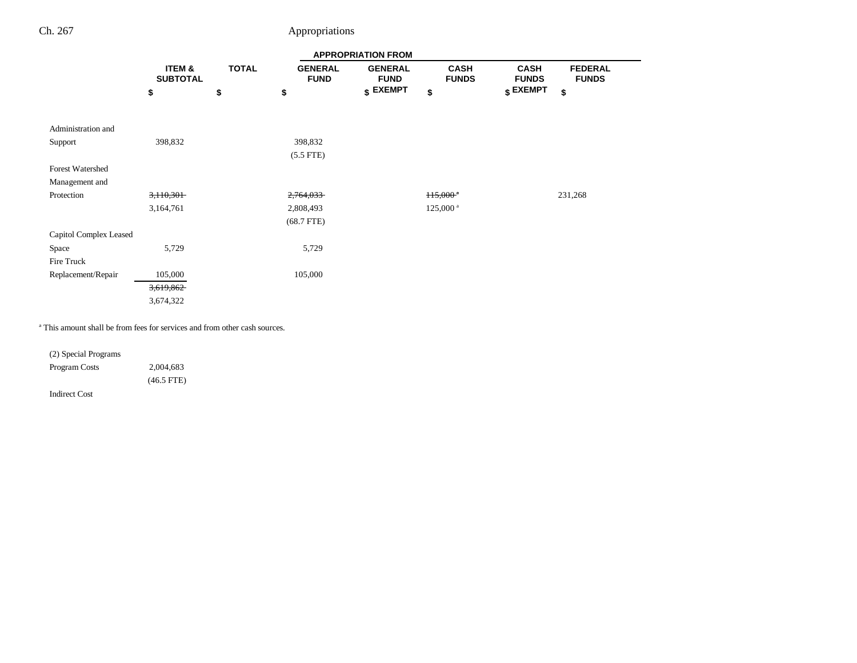|                        | <b>APPROPRIATION FROM</b> |              |                               |                               |                             |                             |                                |
|------------------------|---------------------------|--------------|-------------------------------|-------------------------------|-----------------------------|-----------------------------|--------------------------------|
|                        | ITEM &<br><b>SUBTOTAL</b> | <b>TOTAL</b> | <b>GENERAL</b><br><b>FUND</b> | <b>GENERAL</b><br><b>FUND</b> | <b>CASH</b><br><b>FUNDS</b> | <b>CASH</b><br><b>FUNDS</b> | <b>FEDERAL</b><br><b>FUNDS</b> |
|                        | \$                        | \$           | \$                            | $$$ EXEMPT                    | \$                          | $$$ EXEMPT                  | \$                             |
|                        |                           |              |                               |                               |                             |                             |                                |
| Administration and     |                           |              |                               |                               |                             |                             |                                |
| Support                | 398,832                   |              | 398,832                       |                               |                             |                             |                                |
|                        |                           |              | $(5.5$ FTE)                   |                               |                             |                             |                                |
| Forest Watershed       |                           |              |                               |                               |                             |                             |                                |
| Management and         |                           |              |                               |                               |                             |                             |                                |
| Protection             | 3,110,301                 |              | 2,764,033                     |                               | $115,000^{\circ}$           |                             | 231,268                        |
|                        | 3,164,761                 |              | 2,808,493                     |                               | $125,000^{\text{ a}}$       |                             |                                |
|                        |                           |              | $(68.7$ FTE)                  |                               |                             |                             |                                |
| Capitol Complex Leased |                           |              |                               |                               |                             |                             |                                |
| Space                  | 5,729                     |              | 5,729                         |                               |                             |                             |                                |
| Fire Truck             |                           |              |                               |                               |                             |                             |                                |
| Replacement/Repair     | 105,000                   |              | 105,000                       |                               |                             |                             |                                |
|                        | 3,619,862                 |              |                               |                               |                             |                             |                                |
|                        | 3,674,322                 |              |                               |                               |                             |                             |                                |

a This amount shall be from fees for services and from other cash sources.

(2) Special Programs Program Costs 2,004,683 (46.5 FTE)

Indirect Cost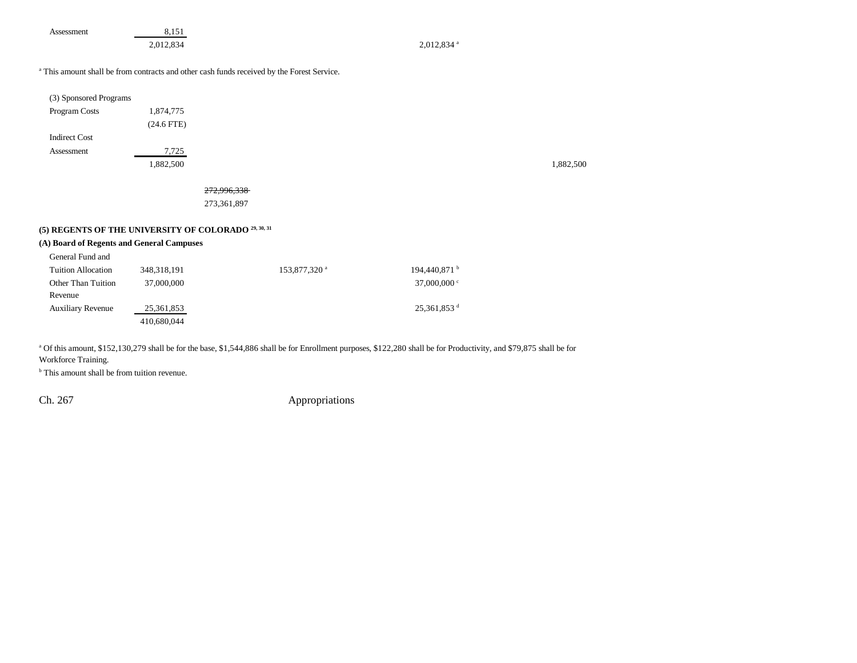| Assessment | 8.151     |
|------------|-----------|
|            | 2,012,834 |

 $2,012,834$ <sup>a</sup>

#### a This amount shall be from contracts and other cash funds received by the Forest Service.

| (3) Sponsored Programs |              |
|------------------------|--------------|
| <b>Program Costs</b>   | 1,874,775    |
|                        | $(24.6$ FTE) |
| Indirect Cost          |              |
| Assessment             | 7,725        |
|                        | .882.500     |

1,882,500 1,882,500

#### 272,996,338

273,361,897

## **(5) REGENTS OF THE UNIVERSITY OF COLORADO 29, 30, 31**

### **(A) Board of Regents and General Campuses**

| General Fund and         |               |                          |                           |
|--------------------------|---------------|--------------------------|---------------------------|
| Tuition Allocation       | 348, 318, 191 | 153,877,320 <sup>a</sup> | 194,440,871 <sup>b</sup>  |
| Other Than Tuition       | 37,000,000    |                          | 37,000,000 $\degree$      |
| Revenue                  |               |                          |                           |
| <b>Auxiliary Revenue</b> | 25, 361, 853  |                          | $25,361,853$ <sup>d</sup> |
|                          | 410,680,044   |                          |                           |

<sup>a</sup> Of this amount, \$152,130,279 shall be for the base, \$1,544,886 shall be for Enrollment purposes, \$122,280 shall be for Productivity, and \$79,875 shall be for

Workforce Training.

<sup>b</sup> This amount shall be from tuition revenue.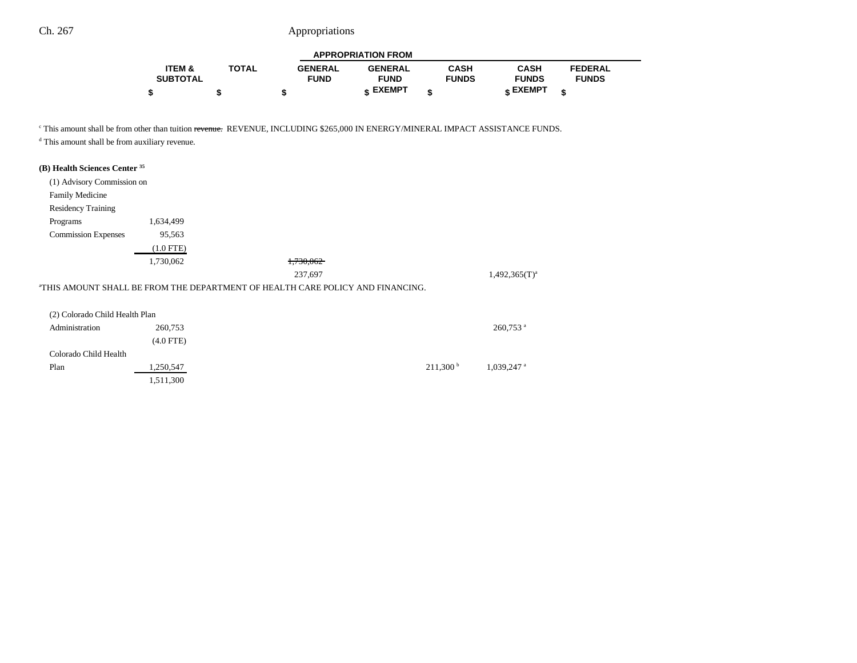|                   |              |                | <b>APPROPRIATION FROM</b> |              |                 |                |  |
|-------------------|--------------|----------------|---------------------------|--------------|-----------------|----------------|--|
| <b>ITEM &amp;</b> | <b>TOTAL</b> | <b>GENERAL</b> | <b>GENERAL</b>            | <b>CASH</b>  | <b>CASH</b>     | <b>FEDERAL</b> |  |
| <b>SUBTOTAL</b>   |              | <b>FUND</b>    | <b>FUND</b>               | <b>FUNDS</b> | <b>FUNDS</b>    | <b>FUNDS</b>   |  |
|                   |              |                | <b>« EXEMPT</b>           | ¢            | <b>« EXEMPT</b> | ¢              |  |

--

<sup>c</sup> This amount shall be from other than tuition revenue. REVENUE, INCLUDING \$265,000 IN ENERGY/MINERAL IMPACT ASSISTANCE FUNDS.

d This amount shall be from auxiliary revenue.

1,511,300

## **(B) Health Sciences Center 35**

| (1) Advisory Commission on     |             |                                                                                |                        |
|--------------------------------|-------------|--------------------------------------------------------------------------------|------------------------|
| <b>Family Medicine</b>         |             |                                                                                |                        |
| <b>Residency Training</b>      |             |                                                                                |                        |
| Programs                       | 1,634,499   |                                                                                |                        |
| <b>Commission Expenses</b>     | 95,563      |                                                                                |                        |
|                                | $(1.0$ FTE) |                                                                                |                        |
|                                | 1,730,062   | 1,730,062                                                                      |                        |
|                                |             | 237,697                                                                        | $1,492,365(T)^{a}$     |
|                                |             | "THIS AMOUNT SHALL BE FROM THE DEPARTMENT OF HEALTH CARE POLICY AND FINANCING. |                        |
|                                |             |                                                                                |                        |
| (2) Colorado Child Health Plan |             |                                                                                |                        |
| Administration                 | 260,753     |                                                                                | $260,753$ <sup>a</sup> |
|                                | $(4.0$ FTE) |                                                                                |                        |
| Colorado Child Health          |             |                                                                                |                        |

Plan  $1,250,547$   $211,300$   $1,039,247$  a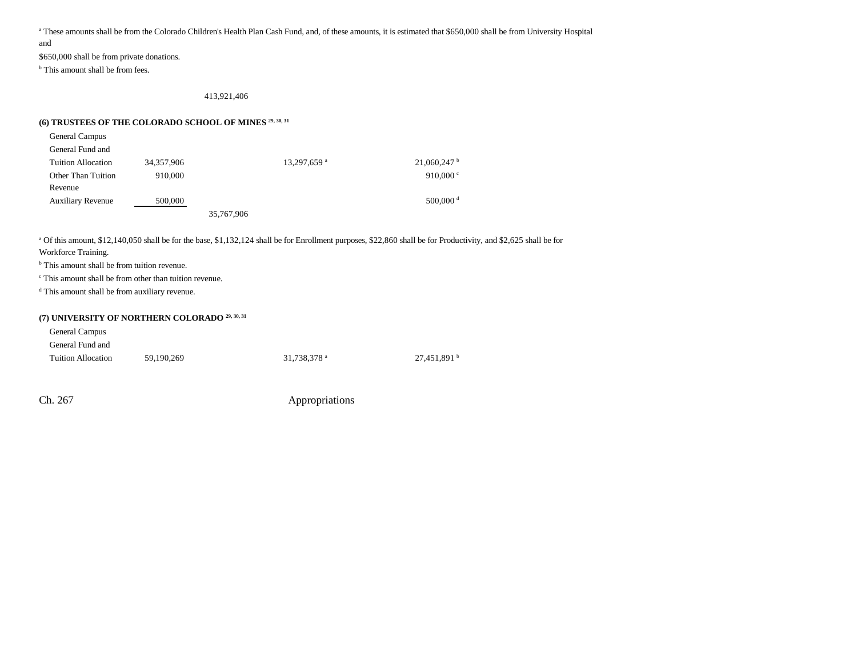a These amounts shall be from the Colorado Children's Health Plan Cash Fund, and, of these amounts, it is estimated that \$650,000 shall be from University Hospital

and

\$650,000 shall be from private donations.

<sup>b</sup> This amount shall be from fees.

413,921,406

## **(6) TRUSTEES OF THE COLORADO SCHOOL OF MINES 29, 30, 31**

| General Campus                               |        |
|----------------------------------------------|--------|
| General Fund and                             |        |
| Tuition Allocation                           | 34.357 |
| $\alpha$ and $\alpha$ is the set of $\alpha$ |        |

 $7,906$  13,297,659 a 21,060,247 b Other Than Tuition Revenue910,000  $\degree$  910,000  $\degree$ Auxiliary Revenue 500,000 500,000 500,000 500,000 6 35,767,906

a Of this amount, \$12,140,050 shall be for the base, \$1,132,124 shall be for Enrollment purposes, \$22,860 shall be for Productivity, and \$2,625 shall be for

Workforce Training.

<sup>b</sup> This amount shall be from tuition revenue.

c This amount shall be from other than tuition revenue.

d This amount shall be from auxiliary revenue.

## **(7) UNIVERSITY OF NORTHERN COLORADO 29, 30, 31**

| <b>General Campus</b>     |            |                         |                         |
|---------------------------|------------|-------------------------|-------------------------|
| General Fund and          |            |                         |                         |
| <b>Tuition Allocation</b> | 59.190.269 | 31.738.378 <sup>a</sup> | 27.451.891 <sup>b</sup> |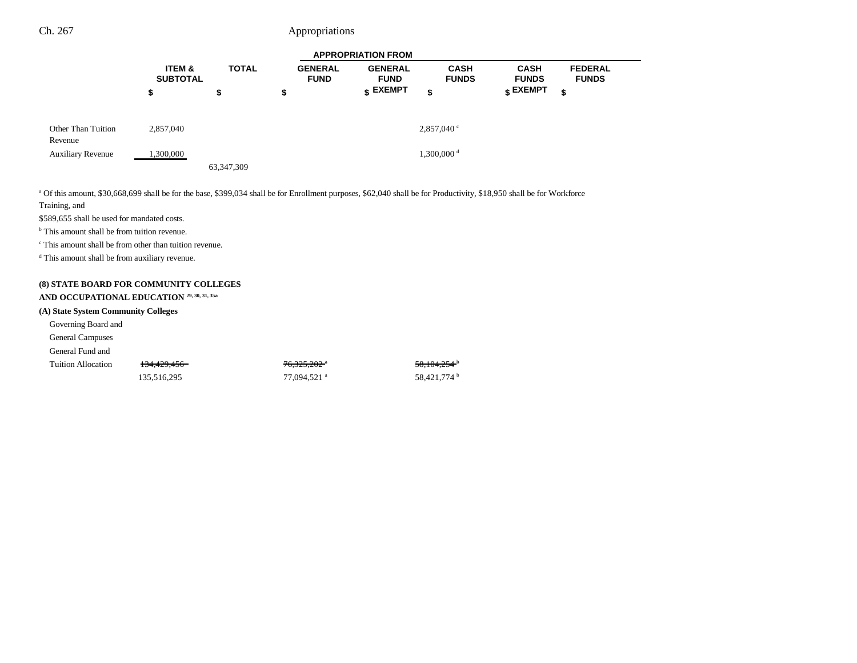|                               | <b>APPROPRIATION FROM</b> |              |                               |                                    |                             |                             |                                |
|-------------------------------|---------------------------|--------------|-------------------------------|------------------------------------|-----------------------------|-----------------------------|--------------------------------|
|                               | ITEM &<br><b>SUBTOTAL</b> | <b>TOTAL</b> | <b>GENERAL</b><br><b>FUND</b> | <b>GENERAL</b><br><b>FUND</b>      | <b>CASH</b><br><b>FUNDS</b> | <b>CASH</b><br><b>FUNDS</b> | <b>FEDERAL</b><br><b>FUNDS</b> |
|                               | \$                        | P            | \$                            | $\boldsymbol{\mathfrak{s}}$ EXEMPT | \$                          | $\epsilon$ EXEMPT           | \$                             |
| Other Than Tuition<br>Revenue | 2,857,040                 |              |                               |                                    | 2,857,040°                  |                             |                                |
| <b>Auxiliary Revenue</b>      | 1,300,000                 |              |                               |                                    | $1,300,000$ <sup>d</sup>    |                             |                                |
|                               |                           | 63, 347, 309 |                               |                                    |                             |                             |                                |

a Of this amount, \$30,668,699 shall be for the base, \$399,034 shall be for Enrollment purposes, \$62,040 shall be for Productivity, \$18,950 shall be for Workforce Training, and

\$589,655 shall be used for mandated costs.

<sup>b</sup> This amount shall be from tuition revenue.

c This amount shall be from other than tuition revenue.

d This amount shall be from auxiliary revenue.

#### **(8) STATE BOARD FOR COMMUNITY COLLEGES**

#### **AND OCCUPATIONAL EDUCATION 29, 30, 31, 35a**

#### **(A) State System Community Colleges**

Governing Board and

General Campuses

General Fund and

| Tuition Allocation |  |
|--------------------|--|

| 135,516,295 | 77,094,521 ª | 58.421.774 b |
|-------------|--------------|--------------|

 $134,429,456$   $76,325,202$  a  $58,104,254$  b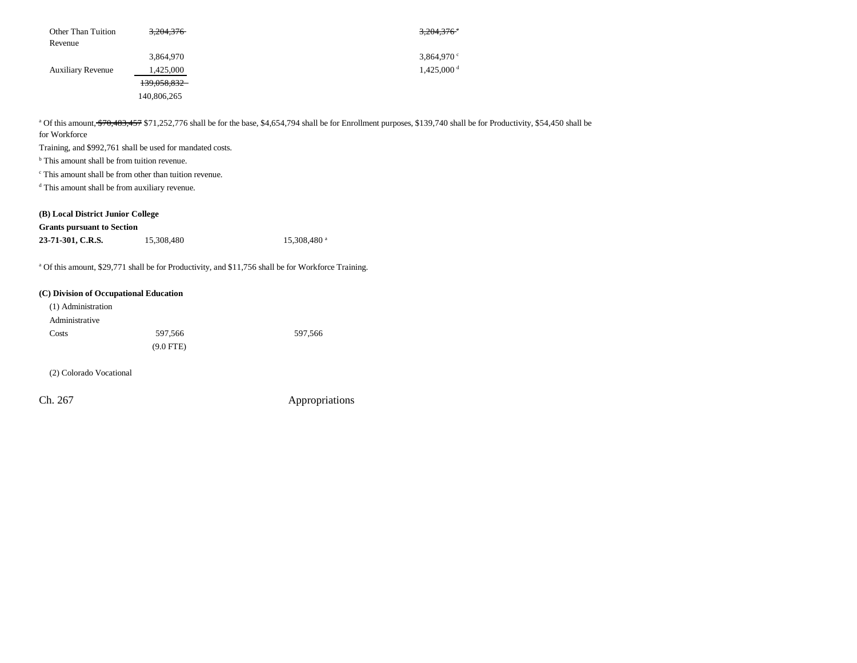| Other Than Tuition       | 3,204,376   | $3,204,376$ <sup>c</sup> |
|--------------------------|-------------|--------------------------|
| Revenue                  |             |                          |
|                          | 3,864,970   | $3,864,970$ °            |
| <b>Auxiliary Revenue</b> | 1,425,000   | $1,425,000$ <sup>d</sup> |
|                          | 139,058,832 |                          |
|                          | 140,806,265 |                          |

<sup>a</sup> Of this amount, \$70,483,457 \$71,252,776 shall be for the base, \$4,654,794 shall be for Enrollment purposes, \$139,740 shall be for Productivity, \$54,450 shall be for Workforce

Training, and \$992,761 shall be used for mandated costs.

<sup>b</sup> This amount shall be from tuition revenue.

c This amount shall be from other than tuition revenue.

d This amount shall be from auxiliary revenue.

#### **(B) Local District Junior College**

#### **Grants pursuant to Section**

| 23-71-301, C.R.S. | 15,308,480 | $15,308,480$ <sup>a</sup> |
|-------------------|------------|---------------------------|
|                   |            |                           |

<sup>a</sup> Of this amount, \$29,771 shall be for Productivity, and \$11,756 shall be for Workforce Training.

#### **(C) Division of Occupational Education**

| (1) Administration |             |         |
|--------------------|-------------|---------|
| Administrative     |             |         |
| Costs              | 597.566     | 597,566 |
|                    | $(9.0$ FTE) |         |

(2) Colorado Vocational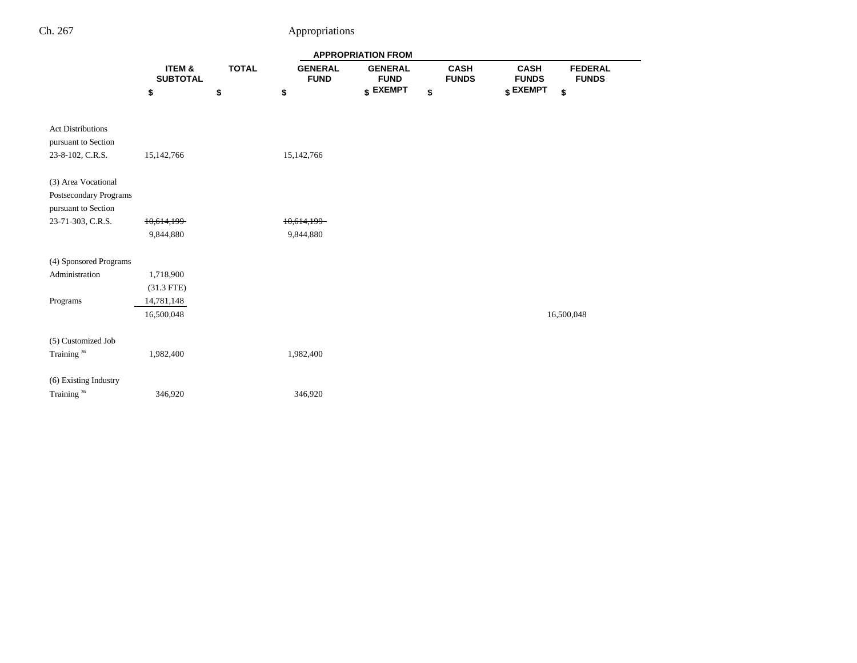|                                                 |                           |              |                               | <b>APPROPRIATION FROM</b>     |                             |                             |                                |
|-------------------------------------------------|---------------------------|--------------|-------------------------------|-------------------------------|-----------------------------|-----------------------------|--------------------------------|
|                                                 | ITEM &<br><b>SUBTOTAL</b> | <b>TOTAL</b> | <b>GENERAL</b><br><b>FUND</b> | <b>GENERAL</b><br><b>FUND</b> | <b>CASH</b><br><b>FUNDS</b> | <b>CASH</b><br><b>FUNDS</b> | <b>FEDERAL</b><br><b>FUNDS</b> |
|                                                 | \$                        | \$           | \$                            | \$ EXEMPT                     | \$                          | \$ EXEMPT                   | \$                             |
|                                                 |                           |              |                               |                               |                             |                             |                                |
| <b>Act Distributions</b><br>pursuant to Section |                           |              |                               |                               |                             |                             |                                |
| 23-8-102, C.R.S.                                | 15,142,766                |              | 15,142,766                    |                               |                             |                             |                                |
| (3) Area Vocational                             |                           |              |                               |                               |                             |                             |                                |
| Postsecondary Programs                          |                           |              |                               |                               |                             |                             |                                |
| pursuant to Section                             |                           |              |                               |                               |                             |                             |                                |
| 23-71-303, C.R.S.                               | 10,614,199                |              | 10,614,199                    |                               |                             |                             |                                |
|                                                 | 9,844,880                 |              | 9,844,880                     |                               |                             |                             |                                |
| (4) Sponsored Programs                          |                           |              |                               |                               |                             |                             |                                |
| Administration                                  | 1,718,900                 |              |                               |                               |                             |                             |                                |
|                                                 | $(31.3$ FTE)              |              |                               |                               |                             |                             |                                |
| Programs                                        | 14,781,148                |              |                               |                               |                             |                             |                                |
|                                                 | 16,500,048                |              |                               |                               |                             |                             | 16,500,048                     |
| (5) Customized Job                              |                           |              |                               |                               |                             |                             |                                |
| Training <sup>36</sup>                          | 1,982,400                 |              | 1,982,400                     |                               |                             |                             |                                |
|                                                 |                           |              |                               |                               |                             |                             |                                |
| (6) Existing Industry                           |                           |              |                               |                               |                             |                             |                                |
| Training <sup>36</sup>                          | 346,920                   |              | 346,920                       |                               |                             |                             |                                |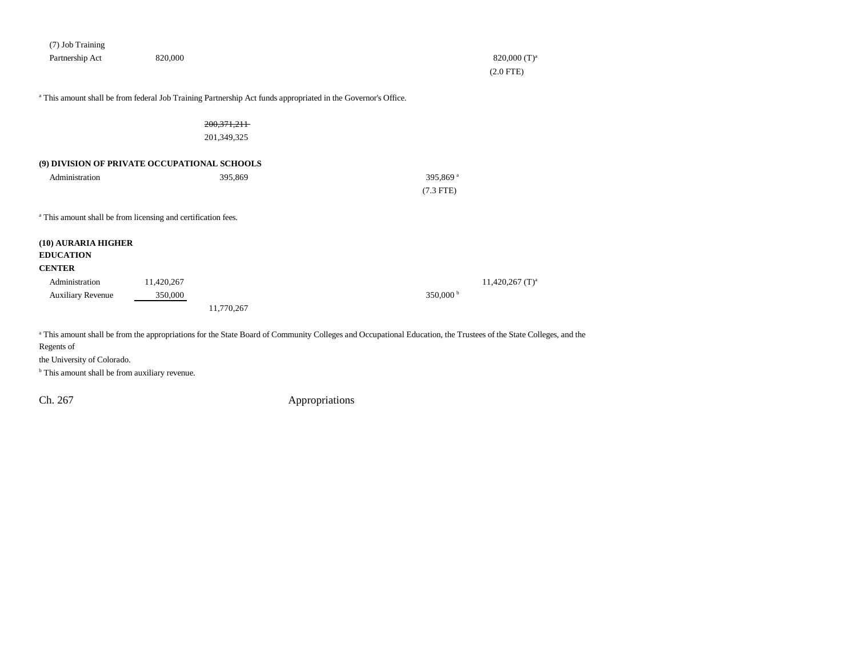| (7) Job Training                                                         |            |                                                                                                               |                                                                                                                                                                  |                               |
|--------------------------------------------------------------------------|------------|---------------------------------------------------------------------------------------------------------------|------------------------------------------------------------------------------------------------------------------------------------------------------------------|-------------------------------|
| Partnership Act                                                          | 820,000    |                                                                                                               |                                                                                                                                                                  | $820,000$ (T) <sup>a</sup>    |
|                                                                          |            |                                                                                                               |                                                                                                                                                                  | $(2.0$ FTE)                   |
|                                                                          |            |                                                                                                               |                                                                                                                                                                  |                               |
|                                                                          |            | a This amount shall be from federal Job Training Partnership Act funds appropriated in the Governor's Office. |                                                                                                                                                                  |                               |
|                                                                          |            | 200, 371, 211                                                                                                 |                                                                                                                                                                  |                               |
|                                                                          |            | 201,349,325                                                                                                   |                                                                                                                                                                  |                               |
| (9) DIVISION OF PRIVATE OCCUPATIONAL SCHOOLS                             |            |                                                                                                               |                                                                                                                                                                  |                               |
| Administration                                                           |            | 395,869                                                                                                       | 395,869 <sup>a</sup>                                                                                                                                             |                               |
|                                                                          |            |                                                                                                               | $(7.3$ FTE)                                                                                                                                                      |                               |
| <sup>a</sup> This amount shall be from licensing and certification fees. |            |                                                                                                               |                                                                                                                                                                  |                               |
| (10) AURARIA HIGHER                                                      |            |                                                                                                               |                                                                                                                                                                  |                               |
| <b>EDUCATION</b>                                                         |            |                                                                                                               |                                                                                                                                                                  |                               |
| <b>CENTER</b>                                                            |            |                                                                                                               |                                                                                                                                                                  |                               |
| Administration                                                           | 11,420,267 |                                                                                                               |                                                                                                                                                                  | $11,420,267$ (T) <sup>a</sup> |
| <b>Auxiliary Revenue</b>                                                 | 350,000    |                                                                                                               | 350,000 <sup>b</sup>                                                                                                                                             |                               |
|                                                                          |            | 11,770,267                                                                                                    |                                                                                                                                                                  |                               |
|                                                                          |            |                                                                                                               |                                                                                                                                                                  |                               |
| Regents of                                                               |            |                                                                                                               | a This amount shall be from the appropriations for the State Board of Community Colleges and Occupational Education, the Trustees of the State Colleges, and the |                               |
|                                                                          |            |                                                                                                               |                                                                                                                                                                  |                               |

the University of Colorado.

<sup>b</sup> This amount shall be from auxiliary revenue.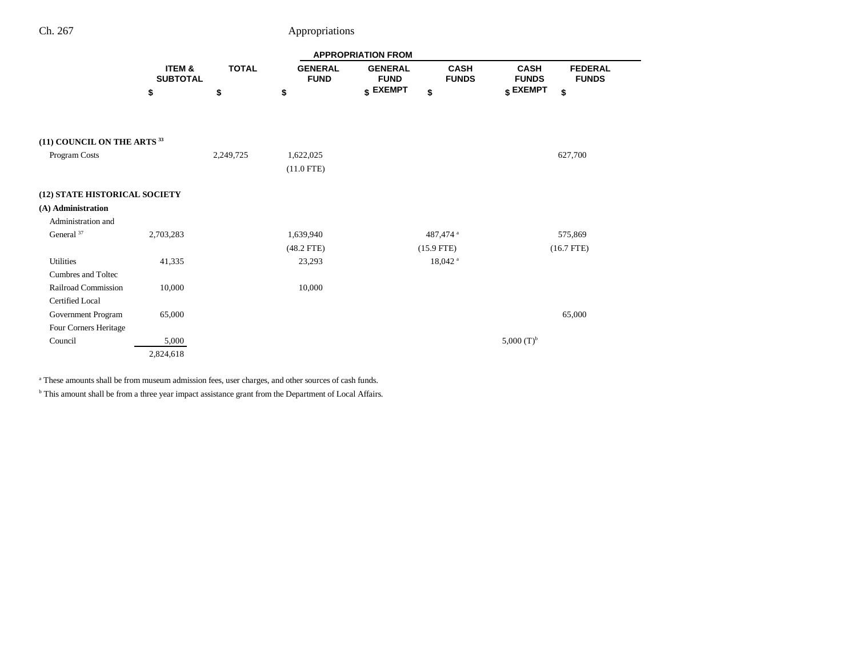| Ch. 267 | Appropriations |
|---------|----------------|
|         |                |

|                                        |                                      |              |                               | <b>APPROPRIATION FROM</b>     |                             |                                                               |  |
|----------------------------------------|--------------------------------------|--------------|-------------------------------|-------------------------------|-----------------------------|---------------------------------------------------------------|--|
|                                        | <b>ITEM &amp;</b><br><b>SUBTOTAL</b> | <b>TOTAL</b> | <b>GENERAL</b><br><b>FUND</b> | <b>GENERAL</b><br><b>FUND</b> | <b>CASH</b><br><b>FUNDS</b> | <b>CASH</b><br><b>FEDERAL</b><br><b>FUNDS</b><br><b>FUNDS</b> |  |
|                                        | \$                                   | \$           | \$                            | \$ EXEMPT                     | \$                          | \$ EXEMPT<br>\$                                               |  |
| (11) COUNCIL ON THE ARTS <sup>33</sup> |                                      |              |                               |                               |                             |                                                               |  |
| Program Costs                          |                                      | 2,249,725    | 1,622,025<br>$(11.0$ FTE)     |                               |                             | 627,700                                                       |  |
| (12) STATE HISTORICAL SOCIETY          |                                      |              |                               |                               |                             |                                                               |  |
| (A) Administration                     |                                      |              |                               |                               |                             |                                                               |  |
| Administration and                     |                                      |              |                               |                               |                             |                                                               |  |
| General $37$                           | 2,703,283                            |              | 1,639,940                     |                               | 487,474 <sup>a</sup>        | 575,869                                                       |  |
|                                        |                                      |              | $(48.2$ FTE $)$               |                               | $(15.9$ FTE)                | $(16.7$ FTE)                                                  |  |
| Utilities                              | 41,335                               |              | 23,293                        |                               | $18,042$ <sup>a</sup>       |                                                               |  |
| Cumbres and Toltec                     |                                      |              |                               |                               |                             |                                                               |  |
| Railroad Commission                    | 10,000                               |              | 10,000                        |                               |                             |                                                               |  |
| Certified Local                        |                                      |              |                               |                               |                             |                                                               |  |
| Government Program                     | 65,000                               |              |                               |                               |                             | 65,000                                                        |  |
| Four Corners Heritage                  |                                      |              |                               |                               |                             |                                                               |  |
| Council                                | 5,000                                |              |                               |                               |                             | 5,000 $(T)^b$                                                 |  |
|                                        | 2,824,618                            |              |                               |                               |                             |                                                               |  |

<sup>a</sup> These amounts shall be from museum admission fees, user charges, and other sources of cash funds.

 $^{\rm b}$  This amount shall be from a three year impact assistance grant from the Department of Local Affairs.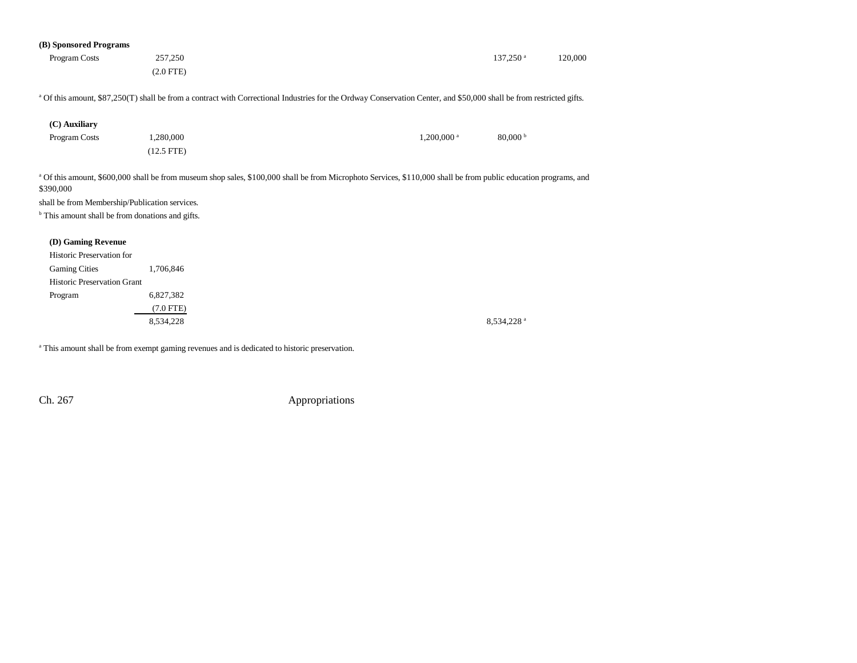| (B) Sponsored Programs                                                                                                     |              |                                                                                                                                                                                 |                          |         |
|----------------------------------------------------------------------------------------------------------------------------|--------------|---------------------------------------------------------------------------------------------------------------------------------------------------------------------------------|--------------------------|---------|
| Program Costs                                                                                                              | 257,250      |                                                                                                                                                                                 | $137,250$ <sup>a</sup>   | 120,000 |
|                                                                                                                            | $(2.0$ FTE)  |                                                                                                                                                                                 |                          |         |
|                                                                                                                            |              | <sup>a</sup> Of this amount, \$87,250(T) shall be from a contract with Correctional Industries for the Ordway Conservation Center, and \$50,000 shall be from restricted gifts. |                          |         |
| (C) Auxiliary                                                                                                              |              |                                                                                                                                                                                 |                          |         |
| Program Costs                                                                                                              | 1,280,000    | $1,200,000$ <sup>a</sup>                                                                                                                                                        | $80,000$ b               |         |
|                                                                                                                            | $(12.5$ FTE) |                                                                                                                                                                                 |                          |         |
| \$390,000<br>shall be from Membership/Publication services.<br><sup>b</sup> This amount shall be from donations and gifts. |              |                                                                                                                                                                                 |                          |         |
| (D) Gaming Revenue                                                                                                         |              |                                                                                                                                                                                 |                          |         |
| Historic Preservation for                                                                                                  |              |                                                                                                                                                                                 |                          |         |
| <b>Gaming Cities</b>                                                                                                       | 1,706,846    |                                                                                                                                                                                 |                          |         |
| <b>Historic Preservation Grant</b>                                                                                         |              |                                                                                                                                                                                 |                          |         |
| Program                                                                                                                    | 6,827,382    |                                                                                                                                                                                 |                          |         |
|                                                                                                                            | $(7.0$ FTE)  |                                                                                                                                                                                 |                          |         |
|                                                                                                                            | 8,534,228    |                                                                                                                                                                                 | $8,534,228$ <sup>a</sup> |         |
|                                                                                                                            |              |                                                                                                                                                                                 |                          |         |

<sup>a</sup> This amount shall be from exempt gaming revenues and is dedicated to historic preservation.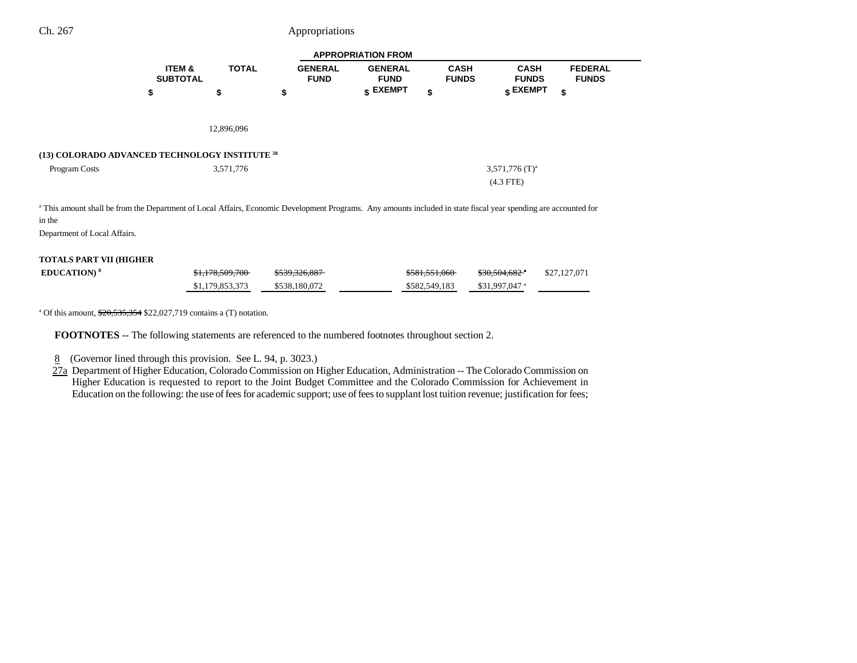| <b>APPROPRIATION FROM</b>                                                                                                                                                                                             |                           |                 |                               |                               |                             |                              |                                |
|-----------------------------------------------------------------------------------------------------------------------------------------------------------------------------------------------------------------------|---------------------------|-----------------|-------------------------------|-------------------------------|-----------------------------|------------------------------|--------------------------------|
|                                                                                                                                                                                                                       | ITEM &<br><b>SUBTOTAL</b> | <b>TOTAL</b>    | <b>GENERAL</b><br><b>FUND</b> | <b>GENERAL</b><br><b>FUND</b> | <b>CASH</b><br><b>FUNDS</b> | <b>CASH</b><br><b>FUNDS</b>  | <b>FEDERAL</b><br><b>FUNDS</b> |
|                                                                                                                                                                                                                       | \$                        | \$              | \$                            | $$$ EXEMPT                    | \$                          | \$ EXEMPT                    | \$                             |
|                                                                                                                                                                                                                       |                           |                 |                               |                               |                             |                              |                                |
|                                                                                                                                                                                                                       |                           | 12,896,096      |                               |                               |                             |                              |                                |
| (13) COLORADO ADVANCED TECHNOLOGY INSTITUTE 38                                                                                                                                                                        |                           |                 |                               |                               |                             |                              |                                |
| Program Costs                                                                                                                                                                                                         |                           | 3,571,776       |                               |                               |                             | $3,571,776$ (T) <sup>a</sup> |                                |
|                                                                                                                                                                                                                       |                           |                 |                               |                               |                             | $(4.3$ FTE)                  |                                |
| <sup>a</sup> This amount shall be from the Department of Local Affairs, Economic Development Programs. Any amounts included in state fiscal year spending are accounted for<br>in the<br>Department of Local Affairs. |                           |                 |                               |                               |                             |                              |                                |
| <b>TOTALS PART VII (HIGHER</b>                                                                                                                                                                                        |                           |                 |                               |                               |                             |                              |                                |
| <b>EDUCATION)</b> <sup>8</sup>                                                                                                                                                                                        |                           | \$1,178,509,700 | \$539,326,887                 |                               | \$581,551,060               | $$30,504,682$ <sup>a</sup>   | \$27,127,071                   |
|                                                                                                                                                                                                                       |                           | \$1,179,853,373 | \$538,180,072                 |                               | \$582,549,183               | \$31,997,047 <sup>a</sup>    |                                |

<sup>a</sup> Of this amount,  $\frac{$20,535,354}{$22,027,719}$  contains a (T) notation.

**FOOTNOTES** -- The following statements are referenced to the numbered footnotes throughout section 2.

8 (Governor lined through this provision. See L. 94, p. 3023.)

27a Department of Higher Education, Colorado Commission on Higher Education, Administration -- The Colorado Commission on Higher Education is requested to report to the Joint Budget Committee and the Colorado Commission for Achievement in Education on the following: the use of fees for academic support; use of fees to supplant lost tuition revenue; justification for fees;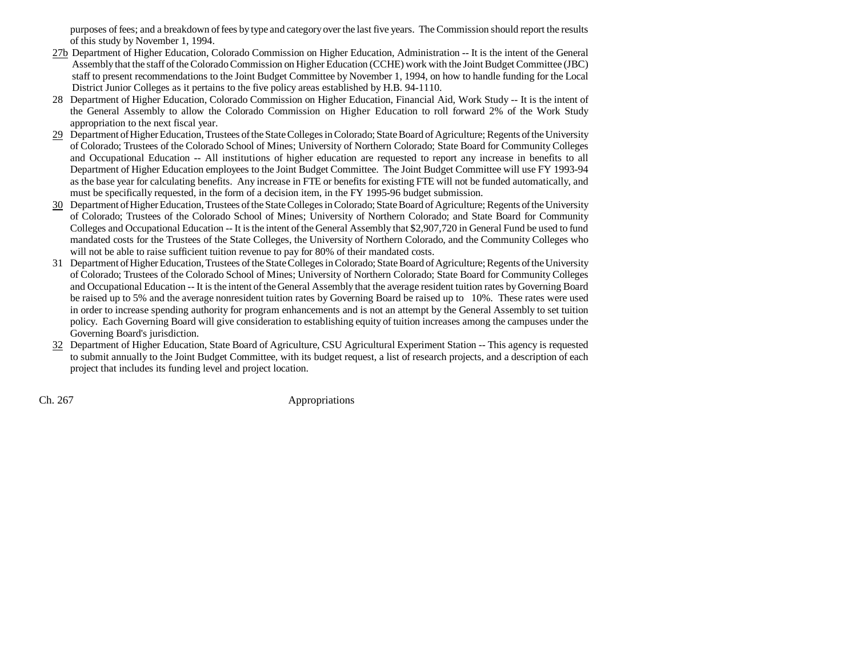purposes of fees; and a breakdown of fees by type and category over the last five years. The Commission should report the results of this study by November 1, 1994.

- 27b Department of Higher Education, Colorado Commission on Higher Education, Administration -- It is the intent of the General Assembly that the staff of the Colorado Commission on Higher Education (CCHE) work with the Joint Budget Committee (JBC) staff to present recommendations to the Joint Budget Committee by November 1, 1994, on how to handle funding for the Local District Junior Colleges as it pertains to the five policy areas established by H.B. 94-1110.
- 28 Department of Higher Education, Colorado Commission on Higher Education, Financial Aid, Work Study -- It is the intent of the General Assembly to allow the Colorado Commission on Higher Education to roll forward 2% of the Work Study appropriation to the next fiscal year.
- 29 Department of Higher Education, Trustees of the State Colleges in Colorado; State Board of Agriculture; Regents of the University of Colorado; Trustees of the Colorado School of Mines; University of Northern Colorado; State Board for Community Colleges and Occupational Education -- All institutions of higher education are requested to report any increase in benefits to all Department of Higher Education employees to the Joint Budget Committee. The Joint Budget Committee will use FY 1993-94 as the base year for calculating benefits. Any increase in FTE or benefits for existing FTE will not be funded automatically, and must be specifically requested, in the form of a decision item, in the FY 1995-96 budget submission.
- $30$  Department of Higher Education, Trustees of the State Colleges in Colorado; State Board of Agriculture; Regents of the University of Colorado; Trustees of the Colorado School of Mines; University of Northern Colorado; and State Board for Community Colleges and Occupational Education -- It is the intent of the General Assembly that \$2,907,720 in General Fund be used to fund mandated costs for the Trustees of the State Colleges, the University of Northern Colorado, and the Community Colleges who will not be able to raise sufficient tuition revenue to pay for 80% of their mandated costs.
- 31 Department of Higher Education, Trustees of the State Colleges in Colorado; State Board of Agriculture; Regents of the University of Colorado; Trustees of the Colorado School of Mines; University of Northern Colorado; State Board for Community Colleges and Occupational Education -- It is the intent of the General Assembly that the average resident tuition rates by Governing Board be raised up to 5% and the average nonresident tuition rates by Governing Board be raised up to 10%. These rates were used in order to increase spending authority for program enhancements and is not an attempt by the General Assembly to set tuition policy. Each Governing Board will give consideration to establishing equity of tuition increases among the campuses under the Governing Board's jurisdiction.
- 32 Department of Higher Education, State Board of Agriculture, CSU Agricultural Experiment Station -- This agency is requested to submit annually to the Joint Budget Committee, with its budget request, a list of research projects, and a description of each project that includes its funding level and project location.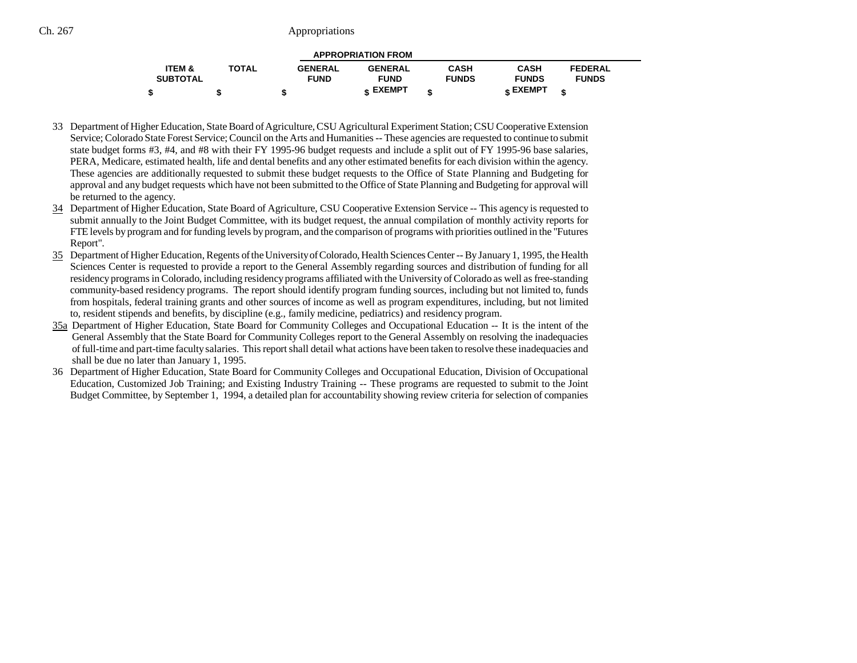| <b>APPROPRIATION FROM</b> |              |                |                 |              |                 |                |  |
|---------------------------|--------------|----------------|-----------------|--------------|-----------------|----------------|--|
| <b>ITEM &amp;</b>         | <b>TOTAL</b> | <b>GENERAL</b> | <b>GENERAL</b>  | <b>CASH</b>  | <b>CASH</b>     | <b>FEDERAL</b> |  |
| <b>SUBTOTAL</b>           |              | <b>FUND</b>    | <b>FUND</b>     | <b>FUNDS</b> | <b>FUNDS</b>    | <b>FUNDS</b>   |  |
|                           |              |                | <b>« EXEMPT</b> |              | <b>e EXEMPT</b> |                |  |

- 33 Department of Higher Education, State Board of Agriculture, CSU Agricultural Experiment Station; CSU Cooperative Extension Service; Colorado State Forest Service; Council on the Arts and Humanities -- These agencies are requested to continue to submit state budget forms #3, #4, and #8 with their FY 1995-96 budget requests and include a split out of FY 1995-96 base salaries, PERA, Medicare, estimated health, life and dental benefits and any other estimated benefits for each division within the agency. These agencies are additionally requested to submit these budget requests to the Office of State Planning and Budgeting for approval and any budget requests which have not been submitted to the Office of State Planning and Budgeting for approval will be returned to the agency.
- 34 Department of Higher Education, State Board of Agriculture, CSU Cooperative Extension Service -- This agency is requested to submit annually to the Joint Budget Committee, with its budget request, the annual compilation of monthly activity reports for FTE levels by program and for funding levels by program, and the comparison of programs with priorities outlined in the "Futures Report".
- 35 Department of Higher Education, Regents of the University of Colorado, Health Sciences Center -- By January 1, 1995, the Health Sciences Center is requested to provide a report to the General Assembly regarding sources and distribution of funding for all residency programs in Colorado, including residency programs affiliated with the University of Colorado as well as free-standing community-based residency programs. The report should identify program funding sources, including but not limited to, funds from hospitals, federal training grants and other sources of income as well as program expenditures, including, but not limited to, resident stipends and benefits, by discipline (e.g., family medicine, pediatrics) and residency program.
- 35a Department of Higher Education, State Board for Community Colleges and Occupational Education -- It is the intent of the General Assembly that the State Board for Community Colleges report to the General Assembly on resolving the inadequacies of full-time and part-time faculty salaries. This report shall detail what actions have been taken to resolve these inadequacies and shall be due no later than January 1, 1995.
- 36 Department of Higher Education, State Board for Community Colleges and Occupational Education, Division of Occupational Education, Customized Job Training; and Existing Industry Training -- These programs are requested to submit to the Joint Budget Committee, by September 1, 1994, a detailed plan for accountability showing review criteria for selection of companies